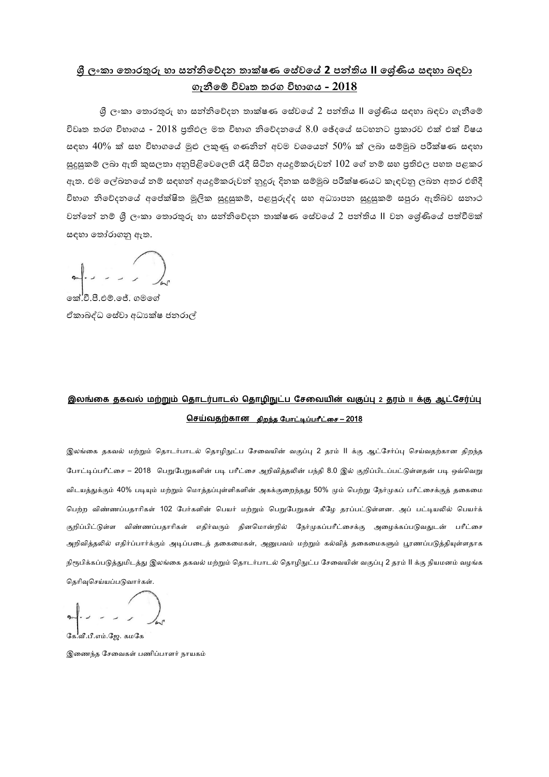## **ශ්රී ලංකා ත ලංරකතුරු හ ලං ත ලං්නිවේරන ත ලංකතෂණ ස ලංර්යේර ලං2 පනිතිය ලංII රරයණිය ය ලං්ා ත ලංවාේත ලං ගැනීරේ ලංවිේෘක කුග ලංවිභතගය ලං- 2018**

ශී ලංකා තොරතුරු හා සත්තිවේදත තාක්ෂණ සේවයේ 2 පත්තිය II ලශ්ණිය සඳහා බඳවා ගැනීමේ විවෘත තරග විභාගය -  $2018$  පුතිඵල මත විභාග නිවේදනයේ  $8.0$  ඡේදයේ සටහනට පකාරව එක් එක් විෂය සඳහා  $40\%$  ක් සහ විභාගයේ මුළු ලකුණු ගණනින් අවම වශයෙන්  $50\%$  ක් ලබා සම්මුඛ පරීක්ෂණ සඳහා සුදුසුකම් ලබා ඇති කුසලතා අනුපිළිවෙලෙහි රැදී සිටින අයදුම්කරුවන්  $102$  ගේ නම් සහ පුතිඵල පහත පළකර ඇත. එම ලේඛනයේ නම් සඳහන් අයදූම්කරුවන් නුදුරු දිනක සම්මුඛ පරීක්ෂණයට කැඳවනු ලබන අතර එහිදී විභාග නිවේදනයේ අපේක්ෂිත මූලික සුදුසුකම්, පළපුරුද්ද සහ අධාාපන සුදුසුකම් සපුරා ඇතිබව සනාථ වන්නේ නම් ශී ලංකා තොරතුරු හා සත්තිවේදන තාක්ෂණ සේවයේ 2 පන්තිය II වන ලේණියේ පත්වීමක් සඳහා තෝරාගනු ඇත.

කේ.්ටී.පී.එම්. ජේ. ගමගේ ඒකාබද්ධ සේවා අධා ක්ෂ ජනරාල්

# **இலங்கை தைவல் ற்றும் ததொடர்பொடல் ததொழிநுட்ப சேகவின் வகுப்பு 2 தம் II க்கு ஆட்சேர்ப்பு**  <u>செய்வதற்கான திறந்த போட்டிப்பரீட்சை – 2018</u>

இலங்கை தகவல் மற்றும் தொடர்பாடல் தொழிநுட்ப சேவையின் வகுப்பு 2 தரம் II க்கு ஆட்சேர்ப்பு செய்வதற்கான திறந்த போட்டிப்பரீட்சை – 2018 பெறுபேறுகளின் படி பரீட்சை அறிவித்தலின் பந்தி 8.0 இல் குறிப்பிடப்பட்டுள்ளதன் படி ஒவ்வெறு விடயத்துக்கும் 40% படியும் மற்றும் மொத்தப்புள்ளிகளின் அகக்குறைந்தது 50% மும் பெற்று நேர்முகப் பரீட்சைக்குத் தகைமை பெற்ற விண்ணப்பதாரிகள் 102 பேர்களின் பெயர் மற்றும் பெறுபேறுகள் கீழே தரப்பட்டுள்ளன. அப் பட்டியலில் பெயர்க் குறிப்பிட்டுள்ள விண்ணப்பதாரிகள் எதிர்வரும் தினமொன்றில் நேர்முகப்பரீட்சைக்கு அழைக்கப்படுவதுடன் பரீட்சை அறிவித்தலில் எதிர்ப்பார்க்கும் அடிப்படைத் தகைமைகள், அனுபவம் மற்றும் கல்வித் தகைமைகளும் பூரணப்படுத்தியுள்ளதாக நிரூபிக்கப்படுத்துமிடத்து இலங்கை தகவல் மற்றும் தொடர்பாடல் தொழிநுட்ப சேவையின் வகுப்பு 2 தரம் II க்கு நியமனம் வழங்க தெரிவுசெய்யப்படுவார்கள்.

|<br>வீ.பீ.எம்.ஜே. கமகே

இணைந்த சேவைகள் பணிப்பாளர் நாயகம்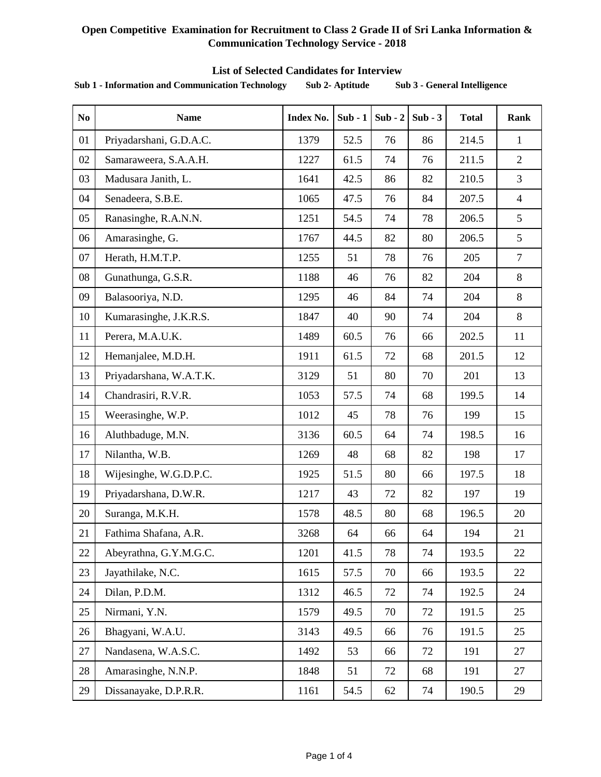#### **List of Selected Candidates for Interview**

| N <sub>0</sub> | <b>Name</b>             | <b>Index No.</b>         | $Sub - 1$             | $Sub - 2$ | $Sub - 3$ | <b>Total</b> | <b>Rank</b>    |
|----------------|-------------------------|--------------------------|-----------------------|-----------|-----------|--------------|----------------|
| 01             | Priyadarshani, G.D.A.C. | 1379                     | 52.5                  | 76        | 86        | 214.5        | $\mathbf{1}$   |
| 02             | Samaraweera, S.A.A.H.   | 1227                     | 61.5                  | 74        | 76        | 211.5        | $\overline{2}$ |
| 03             | Madusara Janith, L.     | 1641                     | 42.5                  | 86        | 82        | 210.5        | 3              |
| 04             | Senadeera, S.B.E.       | 1065                     | 47.5                  | 76        | 84        | 207.5        | $\overline{4}$ |
| 05             | Ranasinghe, R.A.N.N.    | 1251                     | 54.5                  | 74        | 78        | 206.5        | 5              |
| 06             | Amarasinghe, G.         | 1767                     | 44.5                  | 82        | 80        | 206.5        | 5              |
| 07             | Herath, H.M.T.P.        | 1255                     | 51                    | 78        | 76        | 205          | $\overline{7}$ |
| 08             | Gunathunga, G.S.R.      | 1188                     | 46                    | 76        | 82        | 204          | 8              |
| 09             | Balasooriya, N.D.       | 1295                     | 46                    | 84        | 74        | 204          | 8              |
| 10             | Kumarasinghe, J.K.R.S.  | 1847                     | 40                    | 90        | 74        | 204          | 8              |
| 11             | Perera, M.A.U.K.        | 1489                     | 60.5                  | 76        | 66        | 202.5        | 11             |
| 12             | Hemanjalee, M.D.H.      | 1911                     | 61.5                  | 72        | 68        | 201.5        | 12             |
| 13             | Priyadarshana, W.A.T.K. | 3129                     | 51<br>80<br>201<br>70 |           |           | 13           |                |
| 14             | Chandrasiri, R.V.R.     | 1053<br>57.5<br>74<br>68 |                       | 199.5     | 14        |              |                |
| 15             | Weerasinghe, W.P.       | 1012                     | 199<br>45<br>78<br>76 |           |           | 15           |                |
| 16             | Aluthbaduge, M.N.       | 3136                     | 60.5                  | 64        | 74        | 198.5        | 16             |
| 17             | Nilantha, W.B.          | 1269                     | 48                    | 68        | 82        | 198          | 17             |
| 18             | Wijesinghe, W.G.D.P.C.  | 1925                     | 51.5                  | 80        | 66        | 197.5        | 18             |
| 19             | Priyadarshana, D.W.R.   | 1217                     | 43                    | 72        | 82        | 197          | 19             |
| 20             | Suranga, M.K.H.         | 1578                     | 48.5                  | 80        | 68        | 196.5        | 20             |
| 21             | Fathima Shafana, A.R.   | 3268                     | 64                    | 66        | 64        | 194          | 21             |
| 22             | Abeyrathna, G.Y.M.G.C.  | 1201                     | 41.5                  | 78        | 74        | 193.5        | 22             |
| 23             | Jayathilake, N.C.       | 1615                     | 57.5                  | 70        | 66        | 193.5        | 22             |
| 24             | Dilan, P.D.M.           | 1312                     | 46.5                  | 72        | 74        | 192.5        | 24             |
| 25             | Nirmani, Y.N.           | 1579                     | 49.5                  | 70        | 72        | 191.5        | 25             |
| 26             | Bhagyani, W.A.U.        | 3143                     | 49.5                  | 66        | 76        | 191.5        | 25             |
| 27             | Nandasena, W.A.S.C.     | 1492                     | 53                    | 66        | 72        | 191          | 27             |
| 28             | Amarasinghe, N.N.P.     | 1848                     | 51                    | 72        | 68        | 191          | 27             |
| 29             | Dissanayake, D.P.R.R.   | 1161                     | 54.5                  | 62        | 74        | 190.5        | 29             |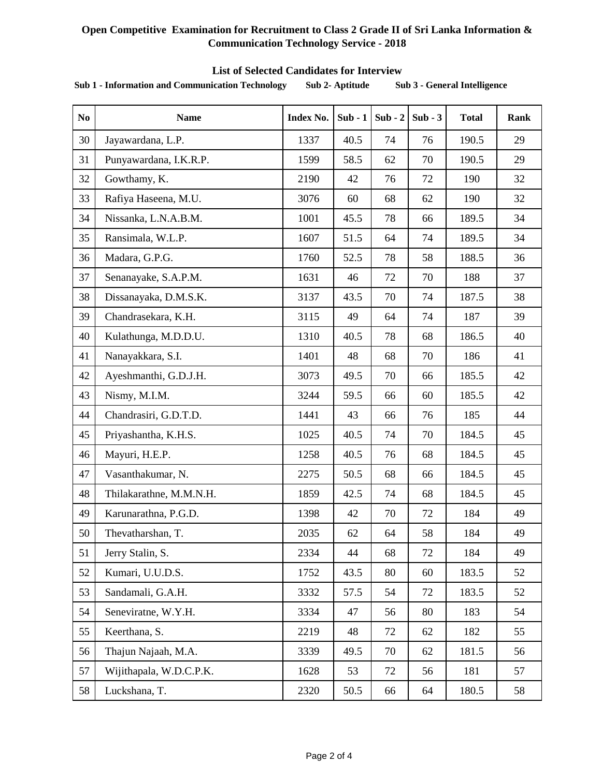#### **List of Selected Candidates for Interview**

| N <sub>0</sub> | <b>Name</b>             | <b>Index No.</b>                  | $Sub - 1$  | $Sub - 2$ | $Sub - 3$ | <b>Total</b> | Rank |
|----------------|-------------------------|-----------------------------------|------------|-----------|-----------|--------------|------|
| 30             | Jayawardana, L.P.       | 1337                              | 40.5       | 74        | 76        | 190.5        | 29   |
| 31             | Punyawardana, I.K.R.P.  | 190.5<br>1599<br>58.5<br>62<br>70 |            | 29        |           |              |      |
| 32             | Gowthamy, K.            | 2190<br>190<br>42<br>72<br>76     |            | 32        |           |              |      |
| 33             | Rafiya Haseena, M.U.    | 3076                              | 60         | 68        | 62        | 190          | 32   |
| 34             | Nissanka, L.N.A.B.M.    | 1001                              | 45.5       | 78        | 66        | 189.5        | 34   |
| 35             | Ransimala, W.L.P.       | 1607                              | 51.5       | 64        | 74        | 189.5        | 34   |
| 36             | Madara, G.P.G.          | 1760                              | 52.5       | 78        | 58        | 188.5        | 36   |
| 37             | Senanayake, S.A.P.M.    | 1631                              | 46         | 72        | 70        | 188          | 37   |
| 38             | Dissanayaka, D.M.S.K.   | 3137                              | 43.5       | 70        | 74        | 187.5        | 38   |
| 39             | Chandrasekara, K.H.     | 3115                              | 49         | 64        | 74        | 187          | 39   |
| 40             | Kulathunga, M.D.D.U.    | 1310<br>40.5<br>186.5<br>78<br>68 |            |           | 40        |              |      |
| 41             | Nanayakkara, S.I.       | 1401<br>48<br>68<br>70<br>186     |            |           | 41        |              |      |
| 42             | Ayeshmanthi, G.D.J.H.   | 3073<br>49.5<br>70<br>66          |            | 185.5     | 42        |              |      |
| 43             | Nismy, M.I.M.           | 3244                              | 59.5<br>66 |           | 60        | 185.5        | 42   |
| 44             | Chandrasiri, G.D.T.D.   | 1441<br>43<br>76<br>66            |            | 185       | 44        |              |      |
| 45             | Priyashantha, K.H.S.    | 1025<br>40.5<br>184.5<br>74<br>70 |            |           | 45        |              |      |
| 46             | Mayuri, H.E.P.          | 1258                              | 40.5       | 76        | 68        | 184.5        | 45   |
| 47             | Vasanthakumar, N.       | 2275                              | 50.5       | 68        | 66        | 184.5        | 45   |
| 48             | Thilakarathne, M.M.N.H. | 42.5<br>184.5<br>1859<br>74<br>68 |            |           | 45        |              |      |
| 49             | Karunarathna, P.G.D.    | 1398                              | 42         | 70        | 72        | 184          | 49   |
| 50             | Thevatharshan, T.       | 2035                              | 62         | 64        | 58        | 184          | 49   |
| 51             | Jerry Stalin, S.        | 2334                              | 44         | 68        | 72        | 184          | 49   |
| 52             | Kumari, U.U.D.S.        | 1752                              | 43.5       | 80        | 60        | 183.5        | 52   |
| 53             | Sandamali, G.A.H.       | 3332                              | 57.5       | 54        | 72        | 183.5        | 52   |
| 54             | Seneviratne, W.Y.H.     | 3334                              | 47         | 56        | 80        | 183          | 54   |
| 55             | Keerthana, S.           | 2219                              | 48         | 72        | 62        | 182          | 55   |
| 56             | Thajun Najaah, M.A.     | 3339                              | 49.5       | 70        | 62        | 181.5        | 56   |
| 57             | Wijithapala, W.D.C.P.K. | 1628                              | 53         | 72        | 56        | 181          | 57   |
| 58             | Luckshana, T.           | 2320                              | 50.5       | 66        | 64        | 180.5        | 58   |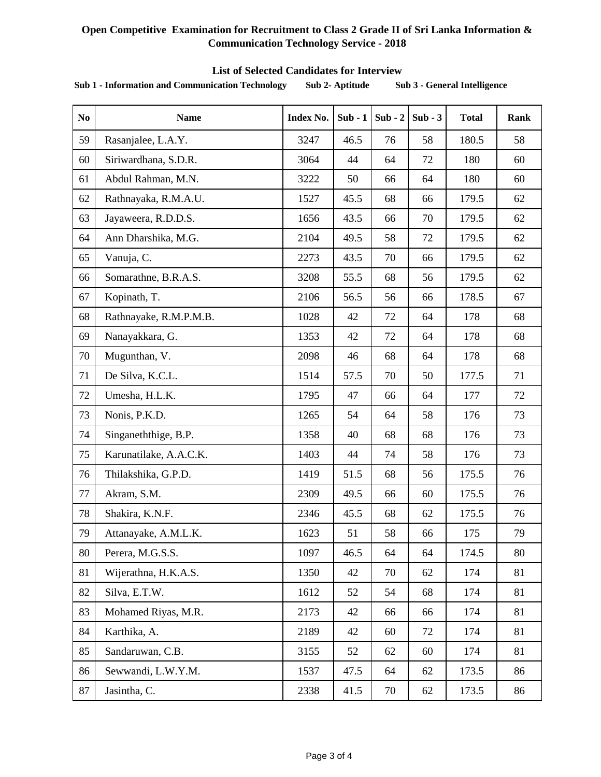#### **List of Selected Candidates for Interview**

| N <sub>0</sub> | <b>Name</b>            | <b>Index No.</b>                  | $Sub - 1$        | $Sub - 2$ | $Sub - 3$ | <b>Total</b> | Rank |
|----------------|------------------------|-----------------------------------|------------------|-----------|-----------|--------------|------|
| 59             | Rasanjalee, L.A.Y.     | 3247                              | 46.5             | 76        | 58        | 180.5        | 58   |
| 60             | Siriwardhana, S.D.R.   | 3064<br>44<br>72<br>180<br>64     |                  | 60        |           |              |      |
| 61             | Abdul Rahman, M.N.     | 3222                              | 50               | 66        | 64        | 180          | 60   |
| 62             | Rathnayaka, R.M.A.U.   | 1527                              | 45.5             | 68        | 66        | 179.5        | 62   |
| 63             | Jayaweera, R.D.D.S.    | 1656                              | 43.5             | 66        | 70        | 179.5        | 62   |
| 64             | Ann Dharshika, M.G.    | 2104                              | 49.5             | 58        | 72        | 179.5        | 62   |
| 65             | Vanuja, C.             | 2273                              | 43.5             | 70        | 66        | 179.5        | 62   |
| 66             | Somarathne, B.R.A.S.   | 3208                              | 55.5             | 68        | 56        | 179.5        | 62   |
| 67             | Kopinath, T.           | 2106                              | 56.5             | 56        | 66        | 178.5        | 67   |
| 68             | Rathnayake, R.M.P.M.B. | 1028                              | 42               | 72        | 64        | 178          | 68   |
| 69             | Nanayakkara, G.        | 1353<br>42<br>72<br>64            |                  | 178       | 68        |              |      |
| 70             | Mugunthan, V.          | 2098                              | 46               | 68        | 64        | 178          | 68   |
| 71             | De Silva, K.C.L.       | 1514                              | 57.5             | 70        | 50        | 177.5        | 71   |
| 72             | Umesha, H.L.K.         | 1795                              | 47               | 66        | 64        | 177          | 72   |
| 73             | Nonis, P.K.D.          | 1265                              | 54               | 64        | 58        | 176          | 73   |
| 74             | Singaneththige, B.P.   | 1358                              | 40               | 68        | 68        | 176          | 73   |
| 75             | Karunatilake, A.A.C.K. | 1403<br>44<br>58<br>74<br>176     |                  |           | 73        |              |      |
| 76             | Thilakshika, G.P.D.    | 1419<br>51.5<br>68<br>175.5<br>56 |                  |           | 76        |              |      |
| 77             | Akram, S.M.            | 2309                              | 49.5<br>66<br>60 |           | 175.5     | 76           |      |
| 78             | Shakira, K.N.F.        | 2346                              | 45.5             | 68        | 62        | 175.5        | 76   |
| 79             | Attanayake, A.M.L.K.   | 1623                              | 51               | 58        | 66        | 175          | 79   |
| 80             | Perera, M.G.S.S.       | 1097                              | 46.5             | 64        | 64        | 174.5        | 80   |
| 81             | Wijerathna, H.K.A.S.   | 1350                              | 42               | 70        | 62        | 174          | 81   |
| 82             | Silva, E.T.W.          | 1612                              | 52               | 54        | 68        | 174          | 81   |
| 83             | Mohamed Riyas, M.R.    | 2173                              | 42               | 66        | 66        | 174          | 81   |
| 84             | Karthika, A.           | 2189                              | 42               | 60        | 72        | 174          | 81   |
| 85             | Sandaruwan, C.B.       | 3155                              | 52               | 62        | 60        | 174          | 81   |
| 86             | Sewwandi, L.W.Y.M.     | 1537                              | 47.5             | 64        | 62        | 173.5        | 86   |
| 87             | Jasintha, C.           | 2338                              | 41.5             | 70        | 62        | 173.5        | 86   |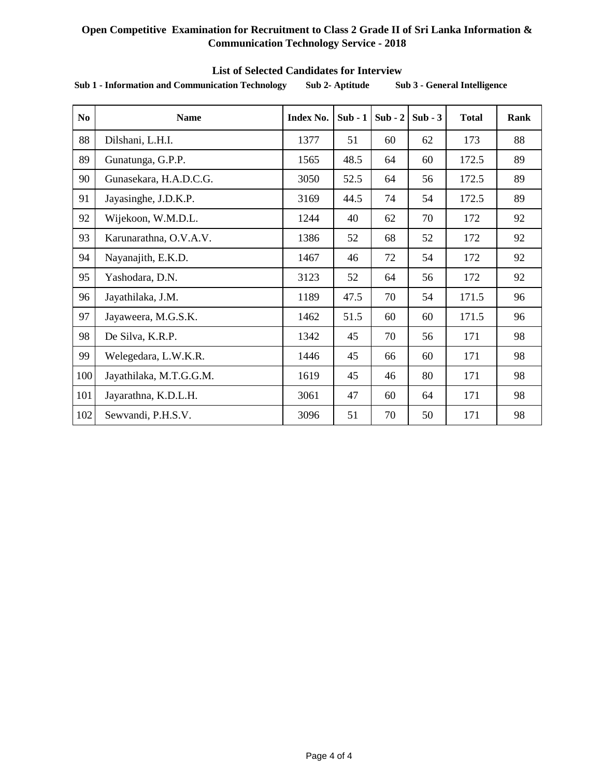| N <sub>0</sub> | <b>Name</b>             | <b>Index No.</b>                  | $Sub - 1$<br>$Sub - 2$ |                   | $Sub - 3$ | <b>Total</b> | Rank |
|----------------|-------------------------|-----------------------------------|------------------------|-------------------|-----------|--------------|------|
| 88             | Dilshani, L.H.I.        | 1377                              | 51                     | 60                | 62        | 173          | 88   |
| 89             | Gunatunga, G.P.P.       | 1565                              | 48.5                   | 64                | 60        | 172.5        | 89   |
| 90             | Gunasekara, H.A.D.C.G.  | 3050                              | 52.5                   | 64                | 56        | 172.5        | 89   |
| 91             | Jayasinghe, J.D.K.P.    | 3169<br>44.5<br>54<br>172.5<br>74 |                        |                   | 89        |              |      |
| 92             | Wijekoon, W.M.D.L.      | 1244                              | 40                     | 62                | 70        | 172          | 92   |
| 93             | Karunarathna, O.V.A.V.  | 1386                              | 52                     | 68                | 52        | 172          | 92   |
| 94             | Nayanajith, E.K.D.      | 1467                              | 46                     | 72                | 54        | 172          | 92   |
| 95             | Yashodara, D.N.         | 3123                              | 52                     | 64                | 56        | 172          | 92   |
| 96             | Jayathilaka, J.M.       | 1189                              | 47.5                   | 70                | 54        | 171.5        | 96   |
| 97             | Jayaweera, M.G.S.K.     | 1462                              | 51.5                   | 171.5<br>60<br>60 |           |              | 96   |
| 98             | De Silva, K.R.P.        | 1342                              | 45                     | 70                | 56        | 171          | 98   |
| 99             | Welegedara, L.W.K.R.    | 1446                              | 45                     | 66                | 60        | 171          | 98   |
| 100            | Jayathilaka, M.T.G.G.M. | 1619                              | 45                     | 46                | 80        | 171          | 98   |
| 101            | Jayarathna, K.D.L.H.    | 3061                              | 47                     | 60                | 64        | 171          | 98   |
| 102            | Sewvandi, P.H.S.V.      | 3096                              | 51                     | 70                | 50        | 171          | 98   |

#### **List of Selected Candidates for Interview**